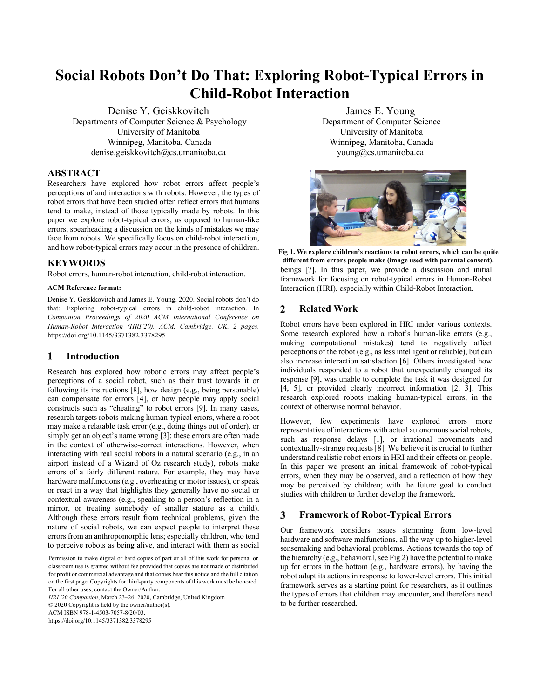# **Social Robots Don't Do That: Exploring Robot-Typical Errors in Child-Robot Interaction**

Denise Y. Geiskkovitch Departments of Computer Science & Psychology University of Manitoba Winnipeg, Manitoba, Canada denise.geiskkovitch@cs.umanitoba.ca

### **ABSTRACT**

Researchers have explored how robot errors affect people's perceptions of and interactions with robots. However, the types of robot errors that have been studied often reflect errors that humans tend to make, instead of those typically made by robots. In this paper we explore robot-typical errors, as opposed to human-like errors, spearheading a discussion on the kinds of mistakes we may face from robots. We specifically focus on child-robot interaction, and how robot-typical errors may occur in the presence of children.

### **KEYWORDS**

Robot errors, human-robot interaction, child-robot interaction.

#### **ACM Reference format:**

Denise Y. Geiskkovitch and James E. Young. 2020. Social robots don't do that: Exploring robot-typical errors in child-robot interaction. In *Companion Proceedings of 2020 ACM International Conference on Human-Robot Interaction (HRI'20). ACM, Cambridge, UK, 2 pages.* https://doi.org/10.1145/3371382.3378295

#### 1 **Introduction**

Research has explored how robotic errors may affect people's perceptions of a social robot, such as their trust towards it or following its instructions [8], how design (e.g., being personable) can compensate for errors [4], or how people may apply social constructs such as "cheating" to robot errors [9]. In many cases, research targets robots making human-typical errors, where a robot may make a relatable task error (e.g., doing things out of order), or simply get an object's name wrong [3]; these errors are often made in the context of otherwise-correct interactions. However, when interacting with real social robots in a natural scenario (e.g., in an airport instead of a Wizard of Oz research study), robots make errors of a fairly different nature. For example, they may have hardware malfunctions (e.g., overheating or motor issues), or speak or react in a way that highlights they generally have no social or contextual awareness (e.g., speaking to a person's reflection in a mirror, or treating somebody of smaller stature as a child). Although these errors result from technical problems, given the nature of social robots, we can expect people to interpret these errors from an anthropomorphic lens; especially children, who tend to perceive robots as being alive, and interact with them as social

Permission to make digital or hard copies of part or all of this work for personal or classroom use is granted without fee provided that copies are not made or distributed for profit or commercial advantage and that copies bear this notice and the full citation on the first page. Copyrights for third-party components of this work must be honored. For all other uses, contact the Owner/Author.

*HRI '20 Companion*, March 23–26, 2020, Cambridge, United Kingdom © 2020 Copyright is held by the owner/author(s). ACM ISBN 978-1-4503-7057-8/20/03.

https://doi.org/10.1145/3371382.3378295

James E. Young Department of Computer Science University of Manitoba Winnipeg, Manitoba, Canada young@cs.umanitoba.ca



beings [7]. In this paper, we provide a discussion and initial framework for focusing on robot-typical errors in Human-Robot Interaction (HRI), especially within Child-Robot Interaction. **Fig 1. We explore children's reactions to robot errors, which can be quite different from errors people make (image used with parental consent).**

#### **Related Work**  $\mathbf{2}$

Robot errors have been explored in HRI under various contexts. Some research explored how a robot's human-like errors (e.g., making computational mistakes) tend to negatively affect perceptions of the robot (e.g., as less intelligent or reliable), but can also increase interaction satisfaction [6]. Others investigated how individuals responded to a robot that unexpectantly changed its response [9], was unable to complete the task it was designed for [4, 5], or provided clearly incorrect information [2, 3]. This research explored robots making human-typical errors, in the context of otherwise normal behavior.

However, few experiments have explored errors more representative of interactions with actual autonomous social robots, such as response delays [1], or irrational movements and contextually-strange requests [8]. We believe it is crucial to further understand realistic robot errors in HRI and their effects on people. In this paper we present an initial framework of robot-typical errors, when they may be observed, and a reflection of how they may be perceived by children; with the future goal to conduct studies with children to further develop the framework.

#### 3 **Framework of Robot-Typical Errors**

Our framework considers issues stemming from low-level hardware and software malfunctions, all the way up to higher-level sensemaking and behavioral problems. Actions towards the top of the hierarchy (e.g., behavioral, see Fig 2) have the potential to make up for errors in the bottom (e.g., hardware errors), by having the robot adapt its actions in response to lower-level errors. This initial framework serves as a starting point for researchers, as it outlines the types of errors that children may encounter, and therefore need to be further researched.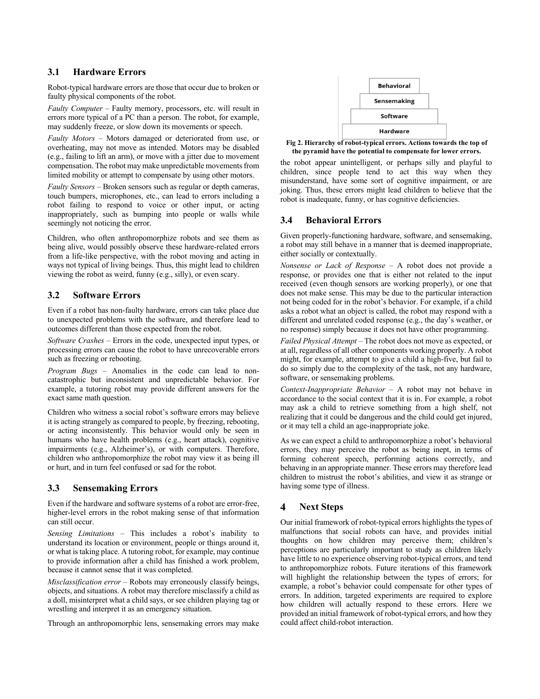### **3.1 Hardware Errors**

Robot-typical hardware errors are those that occur due to broken or faulty physical components of the robot.

*Faulty Computer* – Faulty memory, processors, etc. will result in errors more typical of a PC than a person. The robot, for example, may suddenly freeze, or slow down its movements or speech.

*Faulty Motors* – Motors damaged or deteriorated from use, or overheating, may not move as intended. Motors may be disabled (e.g., failing to lift an arm), or move with a jitter due to movement compensation. The robot may make unpredictable movements from limited mobility or attempt to compensate by using other motors.

*Faulty Sensors* – Broken sensors such as regular or depth cameras, touch bumpers, microphones, etc., can lead to errors including a robot failing to respond to voice or other input, or acting inappropriately, such as bumping into people or walls while seemingly not noticing the error.

Children, who often anthropomorphize robots and see them as being alive, would possibly observe these hardware-related errors from a life-like perspective, with the robot moving and acting in ways not typical of living beings. Thus, this might lead to children viewing the robot as weird, funny (e.g., silly), or even scary.

### **3.2 Software Errors**

Even if a robot has non-faulty hardware, errors can take place due to unexpected problems with the software, and therefore lead to outcomes different than those expected from the robot.

*Software Crashes* – Errors in the code, unexpected input types, or processing errors can cause the robot to have unrecoverable errors such as freezing or rebooting.

*Program Bugs* – Anomalies in the code can lead to noncatastrophic but inconsistent and unpredictable behavior. For example, a tutoring robot may provide different answers for the exact same math question.

Children who witness a social robot's software errors may believe it is acting strangely as compared to people, by freezing, rebooting, or acting inconsistently. This behavior would only be seen in humans who have health problems (e.g., heart attack), cognitive impairments (e.g., Alzheimer's), or with computers. Therefore, children who anthropomorphize the robot may view it as being ill or hurt, and in turn feel confused or sad for the robot.

## **3.3 Sensemaking Errors**

Even if the hardware and software systems of a robot are error-free, higher-level errors in the robot making sense of that information can still occur.

*Sensing Limitations* – This includes a robot's inability to understand its location or environment, people or things around it, or what is taking place. A tutoring robot, for example, may continue to provide information after a child has finished a work problem, because it cannot sense that it was completed.

*Misclassification error* – Robots may erroneously classify beings, objects, and situations. A robot may therefore misclassify a child as a doll, misinterpret what a child says, or see children playing tag or wrestling and interpret it as an emergency situation.

Through an anthropomorphic lens, sensemaking errors may make



**Fig 2. Hierarchy of robot-typical errors. Actions towards the top of the pyramid have the potential to compensate for lower errors.**

the robot appear unintelligent, or perhaps silly and playful to children, since people tend to act this way when they misunderstand, have some sort of cognitive impairment, or are joking. Thus, these errors might lead children to believe that the robot is inadequate, funny, or has cognitive deficiencies.

### **3.4 Behavioral Errors**

Given properly-functioning hardware, software, and sensemaking, a robot may still behave in a manner that is deemed inappropriate, either socially or contextually.

*Nonsense or Lack of Response* – A robot does not provide a response, or provides one that is either not related to the input received (even though sensors are working properly), or one that does not make sense. This may be due to the particular interaction not being coded for in the robot's behavior. For example, if a child asks a robot what an object is called, the robot may respond with a different and unrelated coded response (e.g., the day's weather, or no response) simply because it does not have other programming.

*Failed Physical Attempt* – The robot does not move as expected, or at all, regardless of all other components working properly. A robot might, for example, attempt to give a child a high-five, but fail to do so simply due to the complexity of the task, not any hardware, software, or sensemaking problems.

*Context-Inappropriate Behavior* – A robot may not behave in accordance to the social context that it is in. For example, a robot may ask a child to retrieve something from a high shelf, not realizing that it could be dangerous and the child could get injured, or it may tell a child an age-inappropriate joke.

As we can expect a child to anthropomorphize a robot's behavioral errors, they may perceive the robot as being inept, in terms of forming coherent speech, performing actions correctly, and behaving in an appropriate manner. These errors may therefore lead children to mistrust the robot's abilities, and view it as strange or having some type of illness.

#### 4 **Next Steps**

Our initial framework of robot-typical errors highlights the types of malfunctions that social robots can have, and provides initial thoughts on how children may perceive them; children's perceptions are particularly important to study as children likely have little to no experience observing robot-typical errors, and tend to anthropomorphize robots. Future iterations of this framework will highlight the relationship between the types of errors; for example, a robot's behavior could compensate for other types of errors. In addition, targeted experiments are required to explore how children will actually respond to these errors. Here we provided an initial framework of robot-typical errors, and how they could affect child-robot interaction.